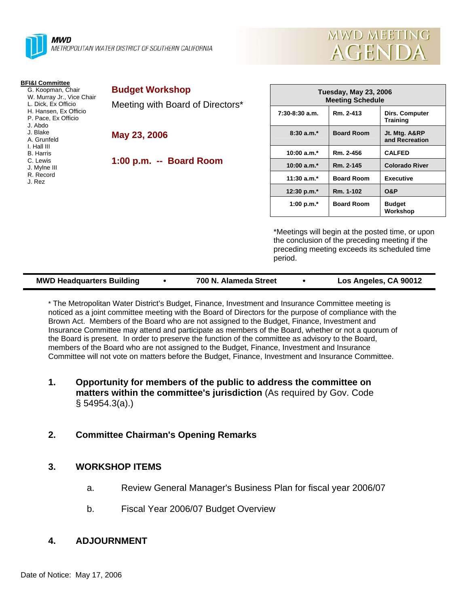



| <b>BFI&amp;I Committee</b><br>G. Koopman, Chair<br>W. Murray Jr., Vice Chair<br>L. Dick, Ex Officio<br>H. Hansen, Ex Officio<br>P. Pace, Ex Officio<br>J. Abdo<br>J. Blake<br>A. Grunfeld<br>I. Hall III<br><b>B.</b> Harris<br>C. Lewis<br>J. Mylne III<br>R. Record<br>J. Rez | <b>Budget Workshop</b><br>Meeting with Board of Directors*<br>May 23, 2006<br>1:00 p.m. -- Board Room | <b>Tuesday, May 23, 2006</b><br><b>Meeting Schedule</b> |                   |                                                 |
|---------------------------------------------------------------------------------------------------------------------------------------------------------------------------------------------------------------------------------------------------------------------------------|-------------------------------------------------------------------------------------------------------|---------------------------------------------------------|-------------------|-------------------------------------------------|
|                                                                                                                                                                                                                                                                                 |                                                                                                       | $7:30-8:30$ a.m.                                        | Rm. 2-413         | <b>Dirs. Computer</b><br><b>Training</b>        |
|                                                                                                                                                                                                                                                                                 |                                                                                                       | $8:30a.m.*$                                             | <b>Board Room</b> | Jt. Mtg. A&RP<br>and Recreation                 |
|                                                                                                                                                                                                                                                                                 |                                                                                                       | 10:00 $a.m.*$                                           | Rm. 2-456         | <b>CALFED</b>                                   |
|                                                                                                                                                                                                                                                                                 |                                                                                                       | 10:00 $a.m.*$                                           | Rm. 2-145         | <b>Colorado River</b>                           |
|                                                                                                                                                                                                                                                                                 |                                                                                                       | 11:30 $a.m.*$                                           | <b>Board Room</b> | <b>Executive</b>                                |
|                                                                                                                                                                                                                                                                                 |                                                                                                       | 12:30 p.m.*                                             | Rm. 1-102         | <b>O&amp;P</b>                                  |
|                                                                                                                                                                                                                                                                                 |                                                                                                       | 1:00 p.m. $*$                                           | <b>Board Room</b> | <b>Budget</b><br>Workshop                       |
|                                                                                                                                                                                                                                                                                 |                                                                                                       |                                                         |                   | *Meetings will begin at the posted time, or upo |

ill begin at the posted time, or upon the conclusion of the preceding meeting if the preceding meeting exceeds its scheduled time period.

| Los Angeles, CA 90012<br><b>MWD Headquarters Building</b><br>700 N. Alameda Street |  |  |
|------------------------------------------------------------------------------------|--|--|
|------------------------------------------------------------------------------------|--|--|

\* The Metropolitan Water District's Budget, Finance, Investment and Insurance Committee meeting is noticed as a joint committee meeting with the Board of Directors for the purpose of compliance with the Brown Act. Members of the Board who are not assigned to the Budget, Finance, Investment and Insurance Committee may attend and participate as members of the Board, whether or not a quorum of the Board is present. In order to preserve the function of the committee as advisory to the Board, members of the Board who are not assigned to the Budget, Finance, Investment and Insurance Committee will not vote on matters before the Budget, Finance, Investment and Insurance Committee.

## **1. Opportunity for members of the public to address the committee on matters within the committee's jurisdiction** (As required by Gov. Code § 54954.3(a).)

## **2. Committee Chairman's Opening Remarks**

## **3. WORKSHOP ITEMS**

- a. Review General Manager's Business Plan for fiscal year 2006/07
- b. Fiscal Year 2006/07 Budget Overview

## **4. ADJOURNMENT**